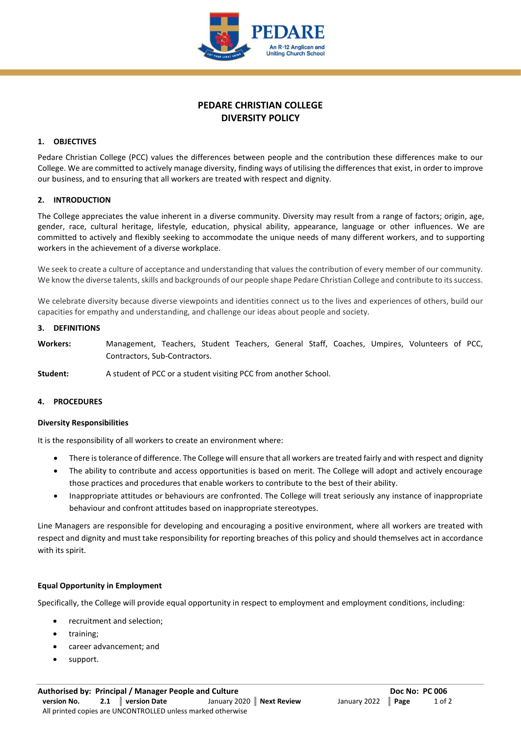

# **PEDARE CHRISTIAN COLLEGE DIVERSITY POLICY**

### **1. OBJECTIVES**

Pedare Christian College (PCC) values the differences between people and the contribution these differences make to our College. We are committed to actively manage diversity, finding ways of utilising the differences that exist, in order to improve our business, and to ensuring that all workers are treated with respect and dignity.

#### **2. INTRODUCTION**

The College appreciates the value inherent in a diverse community. Diversity may result from a range of factors; origin, age, gender, race, cultural heritage, lifestyle, education, physical ability, appearance, language or other influences. We are committed to actively and flexibly seeking to accommodate the unique needs of many different workers, and to supporting workers in the achievement of a diverse workplace.

We seek to create a culture of acceptance and understanding that values the contribution of every member of our community. We know the diverse talents, skills and backgrounds of our people shape Pedare Christian College and contribute to its success.

We celebrate diversity because diverse viewpoints and identities connect us to the lives and experiences of others, build our capacities for empathy and understanding, and challenge our ideas about people and society.

#### **3. DEFINITIONS**

**Workers:** Management, Teachers, Student Teachers, General Staff, Coaches, Umpires, Volunteers of PCC, Contractors, Sub-Contractors.

**Student:** A student of PCC or a student visiting PCC from another School.

#### **4. PROCEDURES**

#### **Diversity Responsibilities**

It is the responsibility of all workers to create an environment where:

- There is tolerance of difference. The College will ensure that all workers are treated fairly and with respect and dignity
- The ability to contribute and access opportunities is based on merit. The College will adopt and actively encourage those practices and procedures that enable workers to contribute to the best of their ability.
- Inappropriate attitudes or behaviours are confronted. The College will treat seriously any instance of inappropriate behaviour and confront attitudes based on inappropriate stereotypes.

Line Managers are responsible for developing and encouraging a positive environment, where all workers are treated with respect and dignity and must take responsibility for reporting breaches of this policy and should themselves act in accordance with its spirit.

#### **Equal Opportunity in Employment**

Specifically, the College will provide equal opportunity in respect to employment and employment conditions, including:

- recruitment and selection;
- training;
- career advancement; and
- support.